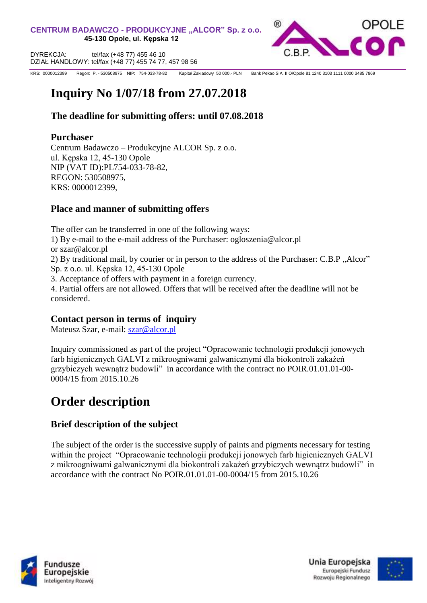

KRS: 0000012399 KRS: 0000012399 Regon: P. - 530508975 NIP: 754-033-78-82 Kapitał Zakładowy 50 000,- PLN Bank Pekao S.A. II O/Opole 81 1240 3103 1111 0000 3485 7869

# **Inquiry No 1/07/18 from 27.07.2018**

## **The deadline for submitting offers: until 07.08.2018**

## **Purchaser**

Centrum Badawczo – Produkcyjne ALCOR Sp. z o.o. ul. Kępska 12, 45-130 Opole NIP (VAT ID):PL754-033-78-82, REGON: 530508975, KRS: 0000012399,

# **Place and manner of submitting offers**

The offer can be transferred in one of the following ways: 1) By e-mail to the e-mail address of the Purchaser: ogloszenia@alcor.pl or szar@alcor.pl 2) By traditional mail, by courier or in person to the address of the Purchaser: C.B.P "Alcor" Sp. z o.o. ul. Kępska 12, 45-130 Opole 3. Acceptance of offers with payment in a foreign currency. 4. Partial offers are not allowed. Offers that will be received after the deadline will not be considered.

# **Contact person in terms of inquiry**

Mateusz Szar, e-mail: [szar@alcor.pl](mailto:szar@alcor.pl)

Inquiry commissioned as part of the project "Opracowanie technologii produkcji jonowych farb higienicznych GALVI z mikroogniwami galwanicznymi dla biokontroli zakażeń grzybiczych wewnątrz budowli" in accordance with the contract no POIR.01.01.01-00- 0004/15 from 2015.10.26

# **Order description**

# **Brief description of the subject**

The subject of the order is the successive supply of paints and pigments necessary for testing within the project "Opracowanie technologii produkcji jonowych farb higienicznych GALVI z mikroogniwami galwanicznymi dla biokontroli zakażeń grzybiczych wewnątrz budowli" in accordance with the contract No POIR.01.01.01-00-0004/15 from 2015.10.26



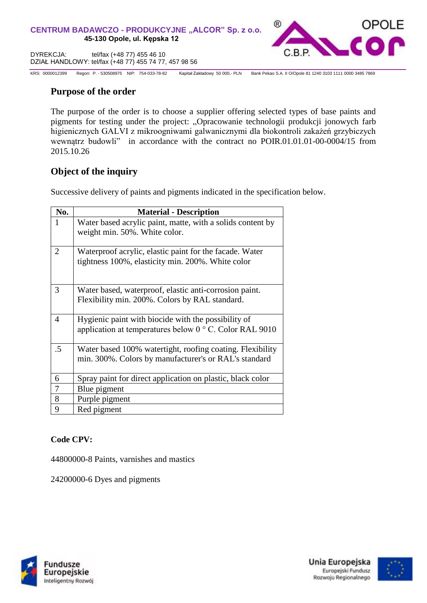

KRS: 0000012399 Regon: P. - 530508975 NIP: 754-033-78-82 Kapitał Zakładowy 50 000,- PLN Bank Pekao S.A. II O/Opole 81 1240 3103 1111 0000 3485 7869

## **Purpose of the order**

The purpose of the order is to choose a supplier offering selected types of base paints and pigments for testing under the project: "Opracowanie technologii produkcji jonowych farb higienicznych GALVI z mikroogniwami galwanicznymi dla biokontroli zakażeń grzybiczych wewnątrz budowli" in accordance with the contract no POIR.01.01.01-00-0004/15 from 2015.10.26

## **Object of the inquiry**

Successive delivery of paints and pigments indicated in the specification below.

| No.          | <b>Material - Description</b>                                                                                          |
|--------------|------------------------------------------------------------------------------------------------------------------------|
| $\mathbf{1}$ | Water based acrylic paint, matte, with a solids content by<br>weight min. 50%. White color.                            |
| 2            | Waterproof acrylic, elastic paint for the facade. Water<br>tightness 100%, elasticity min. 200%. White color           |
| 3            | Water based, waterproof, elastic anti-corrosion paint.<br>Flexibility min. 200%. Colors by RAL standard.               |
| 4            | Hygienic paint with biocide with the possibility of<br>application at temperatures below $0^{\circ}$ C. Color RAL 9010 |
| $.5\,$       | Water based 100% watertight, roofing coating. Flexibility<br>min. 300%. Colors by manufacturer's or RAL's standard     |
| 6            | Spray paint for direct application on plastic, black color                                                             |
| 7            | Blue pigment                                                                                                           |
| 8            | Purple pigment                                                                                                         |
| 9            | Red pigment                                                                                                            |

#### **Code CPV:**

44800000-8 Paints, varnishes and mastics

24200000-6 Dyes and pigments



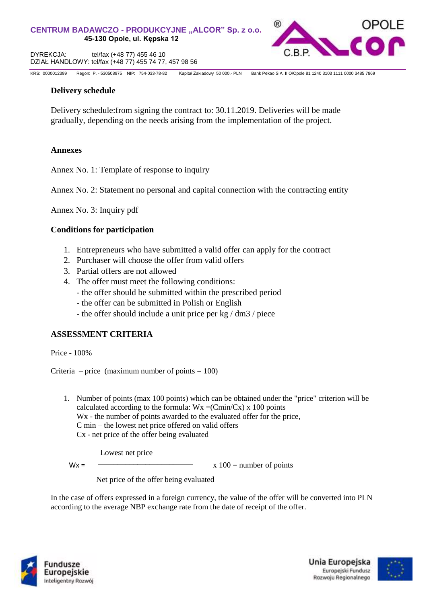

KRS: 0000012399 KRS: 0000012399 Regon: P. - 530508975 NIP: 754-033-78-82 Kapitał Zakładowy 50 000,- PLN Bank Pekao S.A. II O/Opole 81 1240 3103 1111 0000 3485 7869

#### **Delivery schedule**

Delivery schedule:from signing the contract to: 30.11.2019. Deliveries will be made gradually, depending on the needs arising from the implementation of the project.

#### **Annexes**

Annex No. 1: Template of response to inquiry

Annex No. 2: Statement no personal and capital connection with the contracting entity

Annex No. 3: Inquiry pdf

#### **Conditions for participation**

- 1. Entrepreneurs who have submitted a valid offer can apply for the contract
- 2. Purchaser will choose the offer from valid offers
- 3. Partial offers are not allowed
- 4. The offer must meet the following conditions:
	- the offer should be submitted within the prescribed period
	- the offer can be submitted in Polish or English
	- the offer should include a unit price per kg / dm3 / piece

#### **ASSESSMENT CRITERIA**

Price - 100%

Criteria – price (maximum number of points  $= 100$ )

1. Number of points (max 100 points) which can be obtained under the "price" criterion will be calculated according to the formula:  $Wx = (Cmin/Cx) x 100$  points W<sub>x</sub> - the number of points awarded to the evaluated offer for the price, C min – the lowest net price offered on valid offers Cx - net price of the offer being evaluated

Lowest net price

 $M/\nu$  –  $\sim$  –  $\sim$  –  $\sim$  –  $\sim$  –  $\sim$  –  $\sim$  –  $\sim$  –  $\sim$  –  $\sim$  –  $\sim$  –  $\sim$  –  $\sim$  –  $\sim$  –  $\sim$  –  $\sim$  –  $\sim$  –  $\sim$  –  $\sim$  –  $\sim$  –  $\sim$  –  $\sim$  –  $\sim$  –  $\sim$  –  $\sim$  –  $\sim$  –  $\sim$  –  $\sim$  –  $\sim$  –  $\sim$  –  $\sim$  –  $\sim$ 

 $Wx =$   $\frac{100}{x}$  = number of points

Net price of the offer being evaluated

In the case of offers expressed in a foreign currency, the value of the offer will be converted into PLN according to the average NBP exchange rate from the date of receipt of the offer.